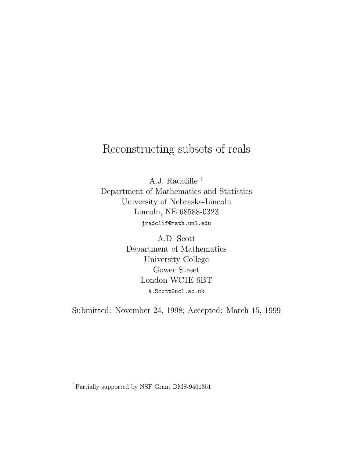## Reconstructing subsets of reals

A.J. Radcliffe <sup>1</sup> Department of Mathematics and Statistics University of Nebraska-Lincoln Lincoln, NE 68588-0323 jradclif@math.unl.edu

> A.D. Scott Department of Mathematics University College Gower Street London WC1E 6BT A.Scott@ucl.ac.uk

Submitted: November 24, 1998; Accepted: March 15, 1999

<sup>1</sup>Partially supported by NSF Grant DMS-9401351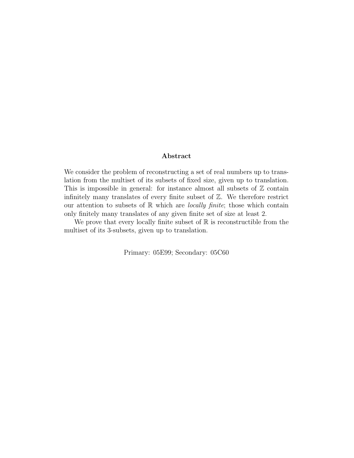## **Abstract**

We consider the problem of reconstructing a set of real numbers up to translation from the multiset of its subsets of fixed size, given up to translation. This is impossible in general: for instance almost all subsets of  $\mathbb Z$  contain infinitely many translates of every finite subset of  $Z$ . We therefore restrict our attention to subsets of  $\mathbb R$  which are *locally finite*; those which contain only finitely many translates of any given finite set of size at least 2.

We prove that every locally finite subset of  $\mathbb R$  is reconstructible from the multiset of its 3-subsets, given up to translation.

Primary: 05E99; Secondary: 05C60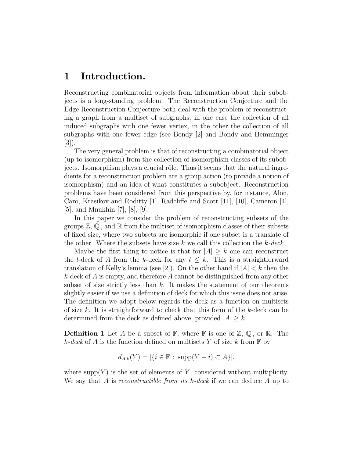## **1 Introduction.**

Reconstructing combinatorial objects from information about their subobjects is a long-standing problem. The Reconstruction Conjecture and the Edge Reconstruction Conjecture both deal with the problem of reconstructing a graph from a multiset of subgraphs; in one case the collection of all induced subgraphs with one fewer vertex, in the other the collection of all subgraphs with one fewer edge (see Bondy [2] and Bondy and Hemminger [3]).

The very general problem is that of reconstructing a combinatorial object (up to isomorphism) from the collection of isomorphism classes of its subobjects. Isomorphism plays a crucial rôle. Thus it seems that the natural ingredients for a reconstruction problem are a group action (to provide a notion of isomorphism) and an idea of what constitutes a subobject. Reconstruction problems have been considered from this perspective by, for instance, Alon, Caro, Krasikov and Roditty [1], Radcliffe and Scott [11], [10], Cameron [4], [5], and Mnukhin [7], [8], [9].

In this paper we consider the problem of reconstructing subsets of the groups  $\mathbb{Z}, \mathbb{Q}$ , and  $\mathbb{R}$  from the multiset of isomorphism classes of their subsets of fixed size, where two subsets are isomorphic if one subset is a translate of the other. Where the subsets have size  $k$  we call this collection the  $k$ -deck.

Maybe the first thing to notice is that for  $|A| \geq k$  one can reconstruct the l-deck of A from the k-deck for any  $l \leq k$ . This is a straightforward translation of Kelly's lemma (see [2]). On the other hand if  $|A| < k$  then the  $k$ -deck of A is empty, and therefore A cannot be distinguished from any other subset of size strictly less than  $k$ . It makes the statement of our theorems slightly easier if we use a definition of deck for which this issue does not arise. The definition we adopt below regards the deck as a function on multisets of size k. It is straightforward to check that this form of the k-deck can be determined from the deck as defined above, provided  $|A| \geq k$ .

**Definition 1** Let A be a subset of  $\mathbb{F}$ , where  $\mathbb{F}$  is one of  $\mathbb{Z}, \mathbb{Q}$ , or  $\mathbb{R}$ . The k-deck of A is the function defined on multisets Y of size k from  $\mathbb F$  by

$$
d_{A,k}(Y) = |\{i \in \mathbb{F} : \text{supp}(Y + i) \subset A\}|,
$$

where supp $(Y)$  is the set of elements of Y, considered without multiplicity. We say that A is reconstructible from its  $k$ -deck if we can deduce A up to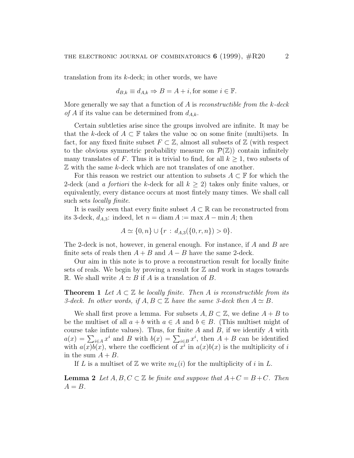translation from its k-deck; in other words, we have

$$
d_{B,k} \equiv d_{A,k} \Rightarrow B = A + i
$$
, for some  $i \in \mathbb{F}$ .

More generally we say that a function of  $A$  is reconstructible from the  $k$ -deck of A if its value can be determined from  $d_{A,k}$ .

Certain subtleties arise since the groups involved are infinite. It may be that the k-deck of  $A \subset \mathbb{F}$  takes the value  $\infty$  on some finite (multi)sets. In fact, for any fixed finite subset  $F \subset \mathbb{Z}$ , almost all subsets of  $\mathbb{Z}$  (with respect to the obvious symmetric probability measure on  $\mathcal{P}(\mathbb{Z})$  contain infinitely many translates of F. Thus it is trivial to find, for all  $k \geq 1$ , two subsets of Z with the same k-deck which are not translates of one another.

For this reason we restrict our attention to subsets  $A \subset \mathbb{F}$  for which the 2-deck (and a *fortiori* the k-deck for all  $k \geq 2$ ) takes only finite values, or equivalently, every distance occurs at most fintely many times. We shall call such sets locally finite.

It is easily seen that every finite subset  $A \subset \mathbb{R}$  can be reconstructed from its 3-deck,  $d_{A,3}$ : indeed, let  $n = \text{diam } A := \max A - \min A$ ; then

$$
A \simeq \{0, n\} \cup \{r : d_{A,3}(\{0, r, n\}) > 0\}.
$$

The 2-deck is not, however, in general enough. For instance, if A and B are finite sets of reals then  $A + B$  and  $A - B$  have the same 2-deck.

Our aim in this note is to prove a reconstruction result for locally finite sets of reals. We begin by proving a result for  $\mathbb Z$  and work in stages towards R. We shall write  $A \simeq B$  if A is a translation of B.

**Theorem 1** Let  $A \subset \mathbb{Z}$  be locally finite. Then A is reconstructible from its 3-deck. In other words, if  $A, B \subset \mathbb{Z}$  have the same 3-deck then  $A \simeq B$ .

We shall first prove a lemma. For subsets  $A, B \subset \mathbb{Z}$ , we define  $A + B$  to be the multiset of all  $a + b$  with  $a \in A$  and  $b \in B$ . (This multiset might of course take infinite values). Thus, for finite  $A$  and  $B$ , if we identify  $A$  with  $a(x) = \sum_{i \in A} x^i$  and B with  $b(x) = \sum_{i \in B} x^i$ , then  $A + B$  can be identified with  $a(x)b(x)$ , where the coefficient of  $x^i$  in  $a(x)b(x)$  is the multiplicity of i in the sum  $A + B$ .

If L is a multiset of Z we write  $m<sub>L</sub>(i)$  for the multiplicity of i in L.

**Lemma 2** Let  $A, B, C \subset \mathbb{Z}$  be finite and suppose that  $A+C = B+C$ . Then  $A = B$ .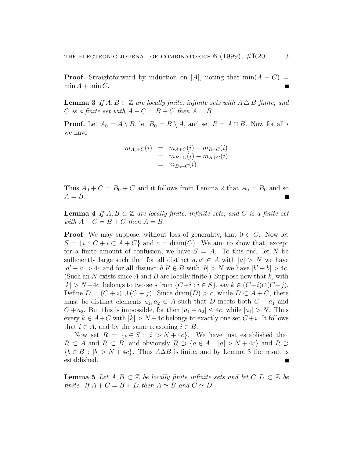**Proof.** Straightforward by induction on |A|, noting that  $min(A + C)$  =  $\min A + \min C$ .

**Lemma 3** If  $A, B \subset \mathbb{Z}$  are locally finite, infinite sets with  $A \Delta B$  finite, and C is a finite set with  $A + C = B + C$  then  $A = B$ .

**Proof.** Let  $A_0 = A \setminus B$ , let  $B_0 = B \setminus A$ , and set  $R = A \cap B$ . Now for all i we have

$$
m_{A_0+C}(i) = m_{A+C}(i) - m_{R+C}(i)
$$
  
= 
$$
m_{B+C}(i) - m_{R+C}(i)
$$
  
= 
$$
m_{B_0+C}(i).
$$

Thus  $A_0 + C = B_0 + C$  and it follows from Lemma 2 that  $A_0 = B_0$  and so  $A = B$ .

**Lemma 4** If  $A, B \subset \mathbb{Z}$  are locally finite, infinite sets, and C is a finite set with  $A + C = B + C$  then  $A = B$ .

**Proof.** We may suppose, without loss of generality, that  $0 \in C$ . Now let  $S = \{i : C + i \subset A + C\}$  and  $c = \text{diam}(C)$ . We aim to show that, except for a finite amount of confusion, we have  $S = A$ . To this end, let N be sufficiently large such that for all distinct  $a, a' \in A$  with  $|a| > N$  we have  $|a'-a| > 4c$  and for all distinct  $b, b' \in B$  with  $|b| > N$  we have  $|b'-b| > 4c$ . (Such an N exists since A and B are locally finite.) Suppose now that  $k$ , with  $|k| > N+4c$ , belongs to two sets from  $\{C+i : i \in S\}$ , say  $k \in (C+i) \cap (C+j)$ . Define  $D = (C + i) \cup (C + j)$ . Since diam(D) > c, while  $D \subset A + C$ , there must be distinct elements  $a_1, a_2 \in A$  such that D meets both  $C + a_1$  and  $C + a_2$ . But this is impossible, for then  $|a_1 - a_2| \leq 4c$ , while  $|a_1| > N$ . Thus every  $k \in A+C$  with  $|k| > N+4c$  belongs to exactly one set  $C+i$ . It follows that  $i \in A$ , and by the same reasoning  $i \in B$ .

Now set  $R = \{i \in S : |i| > N + 4c\}$ . We have just established that  $R \subset A$  and  $R \subset B$ , and obviously  $R \supset \{a \in A : |a| > N + 4c\}$  and  $R \supset$  ${b \in B : |b| > N + 4c}$ . Thus  $A\Delta B$  is finite, and by Lemma 3 the result is established.

**Lemma 5** Let  $A, B \subset \mathbb{Z}$  be locally finite infinite sets and let  $C, D \subset \mathbb{Z}$  be finite. If  $A + C = B + D$  then  $A \simeq B$  and  $C \simeq D$ .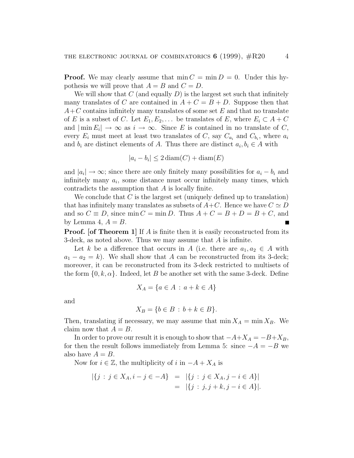**Proof.** We may clearly assume that  $\min C = \min D = 0$ . Under this hypothesis we will prove that  $A = B$  and  $C = D$ .

We will show that  $C$  (and equally  $D$ ) is the largest set such that infinitely many translates of C are contained in  $A + C = B + D$ . Suppose then that  $A+C$  contains infinitely many translates of some set E and that no translate of E is a subset of C. Let  $E_1, E_2, \ldots$  be translates of E, where  $E_i \subset A + C$ and  $|\min E_i| \to \infty$  as  $i \to \infty$ . Since E is contained in no translate of C, every  $E_i$  must meet at least two translates of C, say  $C_{a_i}$  and  $C_{b_i}$ , where  $a_i$ and  $b_i$  are distinct elements of A. Thus there are distinct  $a_i, b_i \in A$  with

$$
|a_i - b_i| \le 2 \operatorname{diam}(C) + \operatorname{diam}(E)
$$

and  $|a_i| \rightarrow \infty$ ; since there are only finitely many possibilities for  $a_i - b_i$  and infinitely many  $a_i$ , some distance must occur infinitely many times, which contradicts the assumption that A is locally finite.

We conclude that  $C$  is the largest set (uniquely defined up to translation) that has infinitely many translates as subsets of  $A+C$ . Hence we have  $C \simeq D$ and so  $C \equiv D$ , since min  $C = \min D$ . Thus  $A + C = B + D = B + C$ , and by Lemma 4,  $A = B$ .

**Proof.** [of Theorem 1] If A is finite then it is easily reconstructed from its 3-deck, as noted above. Thus we may assume that A is infinite.

Let k be a difference that occurs in A (i.e. there are  $a_1, a_2 \in A$  with  $a_1 - a_2 = k$ . We shall show that A can be reconstructed from its 3-deck; moreover, it can be reconstructed from its 3-deck restricted to multisets of the form  $\{0, k, \alpha\}$ . Indeed, let B be another set with the same 3-deck. Define

$$
X_A = \{a \in A \,:\, a + k \in A\}
$$

and

$$
X_B = \{b \in B : b + k \in B\}.
$$

Then, translating if necessary, we may assume that  $\min X_A = \min X_B$ . We claim now that  $A = B$ .

In order to prove our result it is enough to show that  $-A+X_A = -B+X_B$ , for then the result follows immediately from Lemma 5: since  $-A = -B$  we also have  $A = B$ .

Now for  $i \in \mathbb{Z}$ , the multiplicity of i in  $-A + X_A$  is

$$
|\{j : j \in X_A, i - j \in -A\}| = |\{j : j \in X_A, j - i \in A\}|
$$
  
=  $|\{j : j, j + k, j - i \in A\}|.$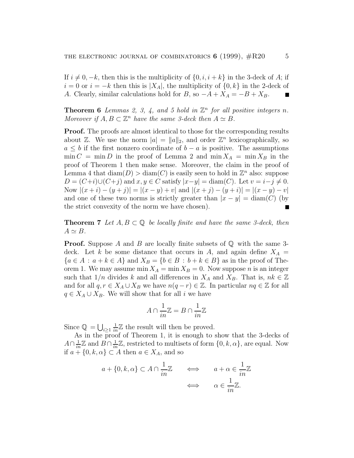If  $i \neq 0, -k$ , then this is the multiplicity of  $\{0, i, i + k\}$  in the 3-deck of A; if  $i = 0$  or  $i = -k$  then this is  $|X_A|$ , the multiplicity of  $\{0, k\}$  in the 2-deck of A. Clearly, similar calculations hold for B, so  $-A+X_A = -B+X_B$ .

**Theorem 6** Lemmas 2, 3, 4, and 5 hold in  $\mathbb{Z}^n$  for all positive integers n. Moreover if  $A, B \subset \mathbb{Z}^n$  have the same 3-deck then  $A \simeq B$ .

**Proof.** The proofs are almost identical to those for the corresponding results about  $\mathbb{Z}$ . We use the norm  $|a| = ||a||_2$ , and order  $\mathbb{Z}^n$  lexicographically, so  $a \leq b$  if the first nonzero coordinate of  $b - a$  is positive. The assumptions  $\min C = \min D$  in the proof of Lemma 2 and  $\min X_A = \min X_B$  in the proof of Theorem 1 then make sense. Moreover, the claim in the proof of Lemma 4 that  $\text{diam}(D) > \text{diam}(C)$  is easily seen to hold in  $\mathbb{Z}^n$  also: suppose  $D = (C+i) \cup (C+j)$  and  $x, y \in C$  satisfy  $|x-y| = \text{diam}(C)$ . Let  $v = i-j \neq 0$ . Now  $|(x+i)-(y+j)|=|(x-y)+v|$  and  $|(x+j)-(y+i)|=|(x-y)-v|$ and one of these two norms is strictly greater than  $|x - y| = \text{diam}(C)$  (by the strict convexity of the norm we have chosen).

**Theorem 7** Let  $A, B \subset \mathbb{Q}$  be locally finite and have the same 3-deck, then  $A \simeq B$ .

**Proof.** Suppose A and B are locally finite subsets of  $\mathbb Q$  with the same 3deck. Let k be some distance that occurs in A, and again define  $X_A =$  ${a \in A : a + k \in A}$  and  $X_B = {b \in B : b + k \in B}$  as in the proof of Theorem 1. We may assume min  $X_A = \min X_B = 0$ . Now suppose *n* is an integer such that  $1/n$  divides k and all differences in  $X_A$  and  $X_B$ . That is,  $nk \in \mathbb{Z}$ and for all  $q, r \in X_A \cup X_B$  we have  $n(q - r) \in \mathbb{Z}$ . In particular  $nq \in \mathbb{Z}$  for all  $q \in X_A \cup X_B$ . We will show that for all i we have

$$
A\cap \frac{1}{in}\mathbb{Z}=B\cap \frac{1}{in}\mathbb{Z}
$$

Since  $\mathbb{Q} = \bigcup_{i \geq 1}$  $\frac{1}{in}\mathbb{Z}$  the result will then be proved.

As in the proof of Theorem 1, it is enough to show that the 3-decks of  $A \cap \frac{1}{in} \mathbb{Z}$  and  $B \cap \frac{1}{in} \mathbb{Z}$ , restricted to multisets of form  $\{0, k, \alpha\}$ , are equal. Now if  $a + \{0, k, \alpha\} \subset A$  then  $a \in X_A$ , and so

$$
a + \{0, k, \alpha\} \subset A \cap \frac{1}{in} \mathbb{Z} \qquad \Longleftrightarrow \qquad a + \alpha \in \frac{1}{in} \mathbb{Z}
$$

$$
\Longleftrightarrow \qquad \alpha \in \frac{1}{in} \mathbb{Z}.
$$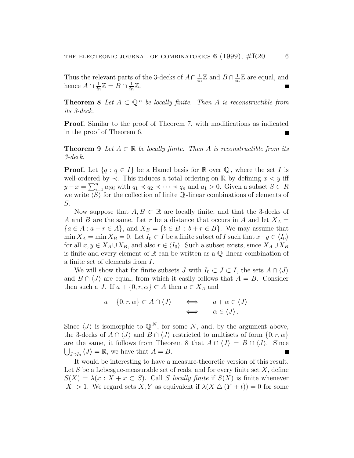Thus the relevant parts of the 3-decks of  $A \cap \frac{1}{in} \mathbb{Z}$  and  $B \cap \frac{1}{in} \mathbb{Z}$  are equal, and hence  $A \cap \frac{1}{in} \mathbb{Z} = B \cap \frac{1}{in} \mathbb{Z}$ .

**Theorem 8** Let  $A \subset \mathbb{Q}^n$  be locally finite. Then A is reconstructible from its 3-deck.

**Proof.** Similar to the proof of Theorem 7, with modifications as indicated in the proof of Theorem 6.

**Theorem 9** Let  $A \subset \mathbb{R}$  be locally finite. Then A is reconstructible from its 3-deck.

**Proof.** Let  $\{q : q \in I\}$  be a Hamel basis for  $\mathbb{R}$  over  $\mathbb{Q}$ , where the set I is well-ordered by  $\prec$ . This induces a total ordering on  $\mathbb R$  by defining  $x < y$  iff  $y - x = \sum_{i=1}^{n} a_i q_i$  with  $q_1 \prec q_2 \prec \cdots \prec q_n$  and  $a_1 > 0$ . Given a subset  $S \subset R$ we write  $\langle S \rangle$  for the collection of finite Q-linear combinations of elements of S.

Now suppose that  $A, B \subset \mathbb{R}$  are locally finite, and that the 3-decks of A and B are the same. Let r be a distance that occurs in A and let  $X_A =$  ${a \in A : a + r \in A}, \text{ and } X_B = {b \in B : b + r \in B}.$  We may assume that  $\min X_A = \min X_B = 0$ . Let  $I_0 \subset I$  be a finite subset of I such that  $x-y \in \langle I_0 \rangle$ for all  $x, y \in X_A \cup X_B$ , and also  $r \in \langle I_0 \rangle$ . Such a subset exists, since  $X_A \cup X_B$ is finite and every element of  $\mathbb R$  can be written as a  $\mathbb Q$ -linear combination of a finite set of elements from I.

We will show that for finite subsets J with  $I_0 \subset J \subset I$ , the sets  $A \cap \langle J \rangle$ and  $B \cap \langle J \rangle$  are equal, from which it easily follows that  $A = B$ . Consider then such a J. If  $a + \{0, r, \alpha\} \subset A$  then  $a \in X_A$  and

$$
a + \{0, r, \alpha\} \subset A \cap \langle J \rangle \qquad \Longleftrightarrow \qquad a + \alpha \in \langle J \rangle
$$
  

$$
\iff \qquad \alpha \in \langle J \rangle.
$$

Since  $\langle J \rangle$  is isomorphic to  $\mathbb{Q}^N$ , for some N, and, by the argument above, the 3-decks of  $A \cap \langle J \rangle$  and  $B \cap \langle J \rangle$  restricted to multisets of form  $\{0, r, \alpha\}$ are the same, it follows from Theorem 8 that  $A \cap \langle J \rangle = B \cap \langle J \rangle$ . Since  $\bigcup_{J\supset I_0} \langle J \rangle = \mathbb{R}$ , we have that  $A = B$ .

It would be interesting to have a measure-theoretic version of this result. Let S be a Lebesgue-measurable set of reals, and for every finite set  $X$ , define  $S(X) = \lambda(x : X + x \subset S)$ . Call S locally finite if  $S(X)$  is finite whenever  $|X| > 1$ . We regard sets X, Y as equivalent if  $\lambda(X \bigtriangleup (Y + t)) = 0$  for some